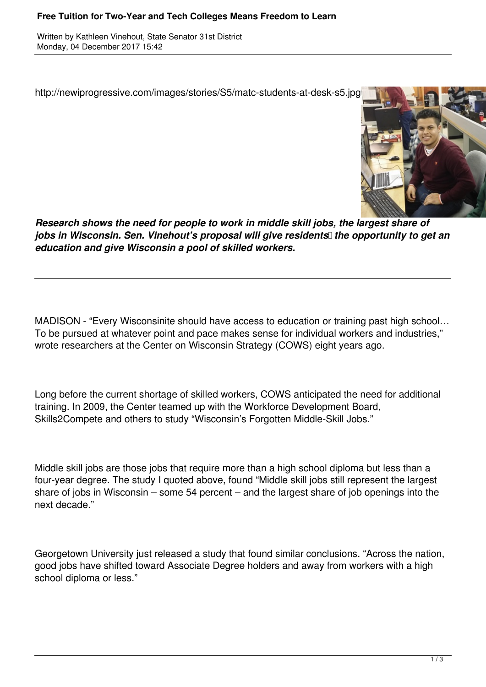## **Free Tuition for Two-Year and Tech Colleges Means Freedom to Learn**

Written by Kathleen Vinehout, State Senator 31st District Monday, 04 December 2017 15:42

http://newiprogressive.com/images/stories/S5/matc-students-at-desk-s5.jpg



*Research shows the need for people to work in middle skill jobs, the largest share of jobs in Wisconsin. Sen. Vinehout's proposal will give residents* the opportunity to get an *education and give Wisconsin a pool of skilled workers.*

MADISON - "Every Wisconsinite should have access to education or training past high school… To be pursued at whatever point and pace makes sense for individual workers and industries," wrote researchers at the Center on Wisconsin Strategy (COWS) eight years ago.

Long before the current shortage of skilled workers, COWS anticipated the need for additional training. In 2009, the Center teamed up with the Workforce Development Board, Skills2Compete and others to study "Wisconsin's Forgotten Middle-Skill Jobs."

Middle skill jobs are those jobs that require more than a high school diploma but less than a four-year degree. The study I quoted above, found "Middle skill jobs still represent the largest share of jobs in Wisconsin – some 54 percent – and the largest share of job openings into the next decade."

Georgetown University just released a study that found similar conclusions. "Across the nation, good jobs have shifted toward Associate Degree holders and away from workers with a high school diploma or less."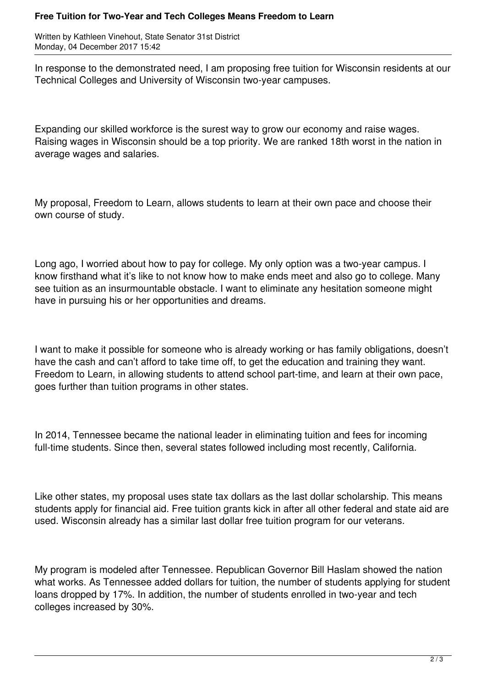## **Free Tuition for Two-Year and Tech Colleges Means Freedom to Learn**

Written by Kathleen Vinehout, State Senator 31st District Monday, 04 December 2017 15:42

In response to the demonstrated need, I am proposing free tuition for Wisconsin residents at our Technical Colleges and University of Wisconsin two-year campuses.

Expanding our skilled workforce is the surest way to grow our economy and raise wages. Raising wages in Wisconsin should be a top priority. We are ranked 18th worst in the nation in average wages and salaries.

My proposal, Freedom to Learn, allows students to learn at their own pace and choose their own course of study.

Long ago, I worried about how to pay for college. My only option was a two-year campus. I know firsthand what it's like to not know how to make ends meet and also go to college. Many see tuition as an insurmountable obstacle. I want to eliminate any hesitation someone might have in pursuing his or her opportunities and dreams.

I want to make it possible for someone who is already working or has family obligations, doesn't have the cash and can't afford to take time off, to get the education and training they want. Freedom to Learn, in allowing students to attend school part-time, and learn at their own pace, goes further than tuition programs in other states.

In 2014, Tennessee became the national leader in eliminating tuition and fees for incoming full-time students. Since then, several states followed including most recently, California.

Like other states, my proposal uses state tax dollars as the last dollar scholarship. This means students apply for financial aid. Free tuition grants kick in after all other federal and state aid are used. Wisconsin already has a similar last dollar free tuition program for our veterans.

My program is modeled after Tennessee. Republican Governor Bill Haslam showed the nation what works. As Tennessee added dollars for tuition, the number of students applying for student loans dropped by 17%. In addition, the number of students enrolled in two-year and tech colleges increased by 30%.